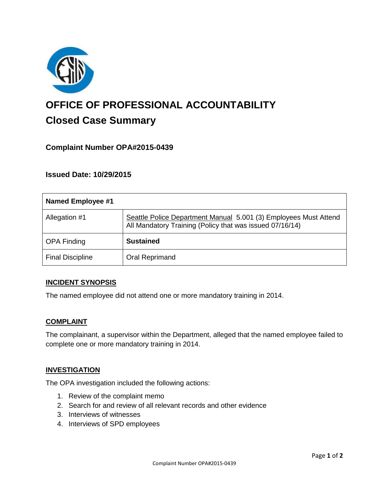

# **OFFICE OF PROFESSIONAL ACCOUNTABILITY Closed Case Summary**

## **Complaint Number OPA#2015-0439**

**Issued Date: 10/29/2015**

| Named Employee #1       |                                                                                                                              |
|-------------------------|------------------------------------------------------------------------------------------------------------------------------|
| Allegation #1           | Seattle Police Department Manual 5.001 (3) Employees Must Attend<br>All Mandatory Training (Policy that was issued 07/16/14) |
| <b>OPA Finding</b>      | <b>Sustained</b>                                                                                                             |
| <b>Final Discipline</b> | Oral Reprimand                                                                                                               |

#### **INCIDENT SYNOPSIS**

The named employee did not attend one or more mandatory training in 2014.

#### **COMPLAINT**

The complainant, a supervisor within the Department, alleged that the named employee failed to complete one or more mandatory training in 2014.

#### **INVESTIGATION**

The OPA investigation included the following actions:

- 1. Review of the complaint memo
- 2. Search for and review of all relevant records and other evidence
- 3. Interviews of witnesses
- 4. Interviews of SPD employees